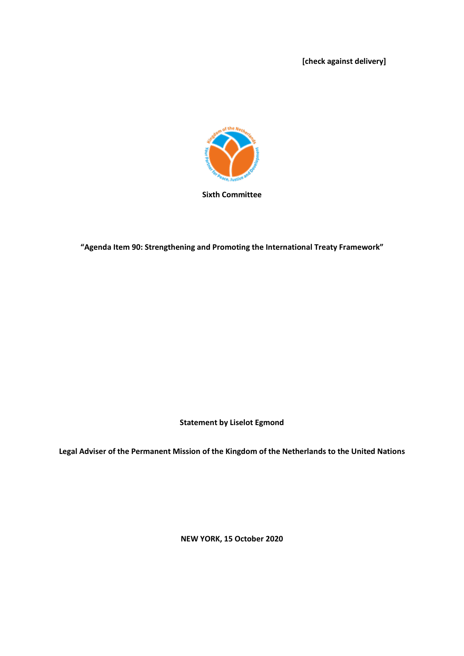**[check against delivery]**



**"Agenda Item 90: Strengthening and Promoting the International Treaty Framework"**

**Statement by Liselot Egmond**

**Legal Adviser of the Permanent Mission of the Kingdom of the Netherlands to the United Nations**

**NEW YORK, 15 October 2020**